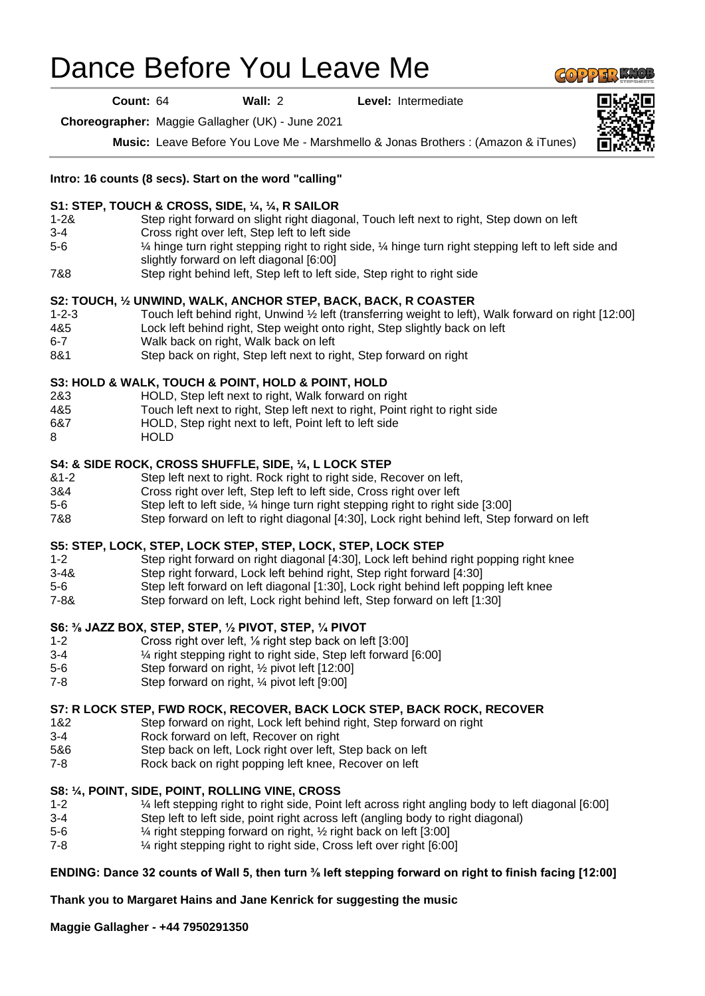# Dance Before You Leave Me

**Count:** 64 **Wall:** 2 **Level:** Intermediate

**Choreographer:** Maggie Gallagher (UK) - June 2021

**Music:** Leave Before You Love Me - Marshmello & Jonas Brothers : (Amazon & iTunes)

#### **Intro: 16 counts (8 secs). Start on the word "calling"**

#### **S1: STEP, TOUCH & CROSS, SIDE, ¼, ¼, R SAILOR**

- 1-2& Step right forward on slight right diagonal, Touch left next to right, Step down on left 3-4 Cross right over left, Step left to left side
- 5-6 ¼ hinge turn right stepping right to right side, ¼ hinge turn right stepping left to left side and slightly forward on left diagonal [6:00]
- 7&8 Step right behind left, Step left to left side, Step right to right side

### **S2: TOUCH, ½ UNWIND, WALK, ANCHOR STEP, BACK, BACK, R COASTER**

- 1-2-3 Touch left behind right, Unwind ½ left (transferring weight to left), Walk forward on right [12:00]
- 4&5 Lock left behind right, Step weight onto right, Step slightly back on left
- 6-7 Walk back on right, Walk back on left
- 8&1 Step back on right, Step left next to right, Step forward on right

## **S3: HOLD & WALK, TOUCH & POINT, HOLD & POINT, HOLD**

- 2&3 HOLD, Step left next to right, Walk forward on right
- 4&5 Touch left next to right, Step left next to right, Point right to right side
- 6&7 HOLD, Step right next to left, Point left to left side
- 8 HOLD

.

#### **S4: & SIDE ROCK, CROSS SHUFFLE, SIDE, ¼, L LOCK STEP**

- &1-2 Step left next to right. Rock right to right side, Recover on left,
- 3&4 Cross right over left, Step left to left side, Cross right over left
- 5-6 Step left to left side, ¼ hinge turn right stepping right to right side [3:00]
- 7&8 Step forward on left to right diagonal [4:30], Lock right behind left, Step forward on left

### **S5: STEP, LOCK, STEP, LOCK STEP, STEP, LOCK, STEP, LOCK STEP**

- 1-2 Step right forward on right diagonal [4:30], Lock left behind right popping right knee
- 3-4& Step right forward, Lock left behind right, Step right forward [4:30]
- 5-6 Step left forward on left diagonal [1:30], Lock right behind left popping left knee
- 7-8& Step forward on left, Lock right behind left, Step forward on left [1:30]

#### **S6: ⅜ JAZZ BOX, STEP, STEP, ½ PIVOT, STEP, ¼ PIVOT**

- 1-2 Cross right over left, ⅛ right step back on left [3:00]
- 3-4 ¼ right stepping right to right side, Step left forward [6:00]
- 5-6 Step forward on right, ½ pivot left [12:00]
- 7-8 Step forward on right, ¼ pivot left [9:00]

### **S7: R LOCK STEP, FWD ROCK, RECOVER, BACK LOCK STEP, BACK ROCK, RECOVER**

- 1&2 Step forward on right, Lock left behind right, Step forward on right
- 3-4 Rock forward on left, Recover on right
- 5&6 Step back on left, Lock right over left, Step back on left
- 7-8 Rock back on right popping left knee, Recover on left

#### **S8: ¼, POINT, SIDE, POINT, ROLLING VINE, CROSS**

- 1-2 <sup>1</sup>/<sub>4</sub> left stepping right to right side, Point left across right angling body to left diagonal [6:00]<br>3-4 Step left to left side, point right across left (angling body to right diagonal)
	- Step left to left side, point right across left (angling body to right diagonal)
- 5-6 ¼ right stepping forward on right, ½ right back on left [3:00]
- 7-8 ¼ right stepping right to right side, Cross left over right [6:00]

# **ENDING: Dance 32 counts of Wall 5, then turn ⅜ left stepping forward on right to finish facing [12:00]**

# **Thank you to Margaret Hains and Jane Kenrick for suggesting the music**

**Maggie Gallagher - +44 7950291350**